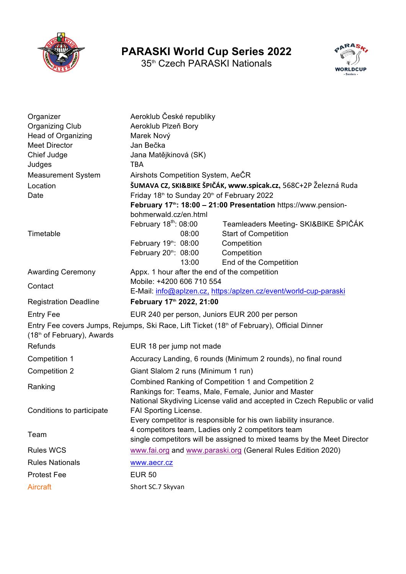

## **PARASKI World Cup Series 2022**

35<sup>th</sup> Czech PARASKI Nationals



| Organizer<br><b>Organizing Club</b><br>Head of Organizing<br><b>Meet Director</b><br>Chief Judge<br>Judges<br><b>Measurement System</b><br>Location | Aeroklub České republiky<br>Aeroklub Plzeň Bory<br>Marek Nový<br>Jan Bečka<br>Jana Matějkinová (SK)<br><b>TBA</b><br>Airshots Competition System, AeCR                                                                                         | ŠUMAVA CZ, SKI&BIKE ŠPIČÁK, www.spicak.cz, 568C+2P Železná Ruda                            |
|-----------------------------------------------------------------------------------------------------------------------------------------------------|------------------------------------------------------------------------------------------------------------------------------------------------------------------------------------------------------------------------------------------------|--------------------------------------------------------------------------------------------|
| Date                                                                                                                                                | Friday 18 <sup>th</sup> to Sunday 20 <sup>th</sup> of February 2022<br>February 17 <sup>th</sup> : 18:00 - 21:00 Presentation https://www.pension-<br>bohmerwald.cz/en.html<br>February $18th$ : 08:00<br>Teamleaders Meeting- SKI&BIKE ŠPIČÁK |                                                                                            |
| Timetable                                                                                                                                           | 08:00<br>February 19th: 08:00<br>February 20th: 08:00<br>13:00                                                                                                                                                                                 | <b>Start of Competition</b><br>Competition<br>Competition<br>End of the Competition        |
| <b>Awarding Ceremony</b>                                                                                                                            | Appx. 1 hour after the end of the competition                                                                                                                                                                                                  |                                                                                            |
| Contact                                                                                                                                             | Mobile: +4200 606 710 554<br>E-Mail: info@aplzen.cz, https:/aplzen.cz/event/world-cup-paraski                                                                                                                                                  |                                                                                            |
| <b>Registration Deadline</b>                                                                                                                        | February 17th 2022, 21:00                                                                                                                                                                                                                      |                                                                                            |
| <b>Entry Fee</b>                                                                                                                                    | EUR 240 per person, Juniors EUR 200 per person                                                                                                                                                                                                 |                                                                                            |
| (18th of February), Awards                                                                                                                          |                                                                                                                                                                                                                                                | Entry Fee covers Jumps, Rejumps, Ski Race, Lift Ticket (18th of February), Official Dinner |
| Refunds                                                                                                                                             | EUR 18 per jump not made                                                                                                                                                                                                                       |                                                                                            |
| Competition 1                                                                                                                                       | Accuracy Landing, 6 rounds (Minimum 2 rounds), no final round                                                                                                                                                                                  |                                                                                            |
| <b>Competition 2</b>                                                                                                                                | Giant Slalom 2 runs (Minimum 1 run)                                                                                                                                                                                                            |                                                                                            |
| Ranking                                                                                                                                             | Combined Ranking of Competition 1 and Competition 2<br>Rankings for: Teams, Male, Female, Junior and Master<br>National Skydiving License valid and accepted in Czech Republic or valid                                                        |                                                                                            |
| Conditions to participate                                                                                                                           | FAI Sporting License.<br>Every competitor is responsible for his own liability insurance.                                                                                                                                                      |                                                                                            |
| Team                                                                                                                                                | 4 competitors team, Ladies only 2 competitors team                                                                                                                                                                                             | single competitors will be assigned to mixed teams by the Meet Director                    |
| <b>Rules WCS</b>                                                                                                                                    | www.fai.org and www.paraski.org (General Rules Edition 2020)                                                                                                                                                                                   |                                                                                            |
| <b>Rules Nationals</b>                                                                                                                              | www.aecr.cz                                                                                                                                                                                                                                    |                                                                                            |
| <b>Protest Fee</b>                                                                                                                                  | <b>EUR 50</b>                                                                                                                                                                                                                                  |                                                                                            |
| Aircraft                                                                                                                                            | Short SC.7 Skyvan                                                                                                                                                                                                                              |                                                                                            |